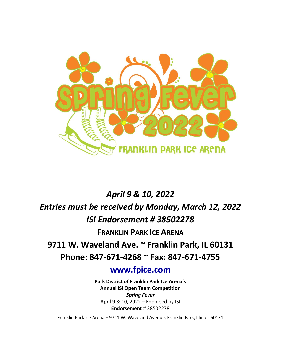

# *April 9 & 10, 2022 Entries must be received by Monday, March 12, 2022 ISI Endorsement # 38502278* **FRANKLIN PARK ICE ARENA**

**9711 W. Waveland Ave. ~ Franklin Park, IL 60131**

**Phone: 847-671-4268 ~ Fax: 847-671-4755**

**[www.fpice.com](http://www.fpice.com/)**

**Park District of Franklin Park Ice Arena's Annual ISI Open Team Competition** *Spring Fever* April 9 & 10, 2022 – Endorsed by ISI **Endorsement** # 38502278

Franklin Park Ice Arena – 9711 W. Waveland Avenue, Franklin Park, Illinois 60131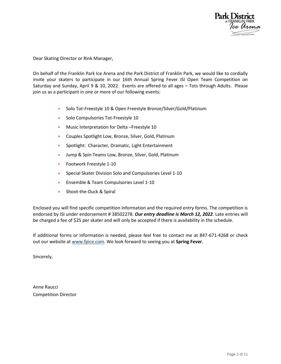

Dear Skating Director or Rink Manager,

On behalf of the Franklin Park Ice Arena and the Park District of Franklin Park, we would like to cordially invite your skaters to participate in our 16th Annual Spring Fever ISI Open Team Competition on Saturday and Sunday, April 9 & 10, 2022. Events are offered to all ages – Tots through Adults. Please join us as a participant in one or more of our following events:

- Solo Tot-Freestyle 10 & Open Freestyle Bronze/Silver/Gold/Platinum
- **Solo Compulsories Tot-Freestyle 10**
- **Music Interpretation for Delta-Freestyle 10**
- Couples Spotlight Low, Bronze, Silver, Gold, Platinum
- Spotlight: Character, Dramatic, Light Entertainment
- **Jump & Spin Teams Low, Bronze, Silver, Gold, Platinum**
- **•** Footwork Freestyle 1-10
- **Special Skater Division Solo and Compulsories Level 1-10**
- **Ensemble & Team Compulsories Level 1-10**
- **Shoot-the-Duck & Spiral**

Enclosed you will find specific competition information and the required entry forms. The competition is endorsed by ISI under endorsement # 38502278. *Our entry deadline is March 12, 2022*. Late entries will be charged a fee of \$25 per skater and will only be accepted if there is availability in the schedule.

If additional forms or information is needed, please feel free to contact me at 847-671-4268 or check out our website a[t www.fpice.com.](http://www.fpice.com/) We look forward to seeing you at **Spring Fever**.

Sincerely,

Anne Raucci Competition Director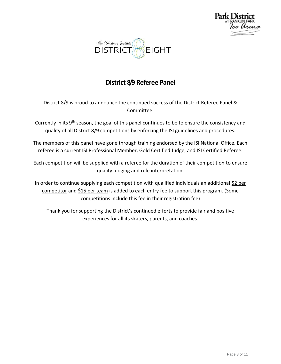



# **District 8/9 Referee Panel**

District 8/9 is proud to announce the continued success of the District Referee Panel & Committee.

- Currently in its 9<sup>th</sup> season, the goal of this panel continues to be to ensure the consistency and quality of all District 8/9 competitions by enforcing the ISI guidelines and procedures.
- The members of this panel have gone through training endorsed by the ISI National Office. Each referee is a current ISI Professional Member, Gold Certified Judge, and ISI Certified Referee.

Each competition will be supplied with a referee for the duration of their competition to ensure quality judging and rule interpretation.

In order to continue supplying each competition with qualified individuals an additional \$2 per competitor and \$15 per team is added to each entry fee to support this program. (Some competitions include this fee in their registration fee)

Thank you for supporting the District's continued efforts to provide fair and positive experiences for all its skaters, parents, and coaches.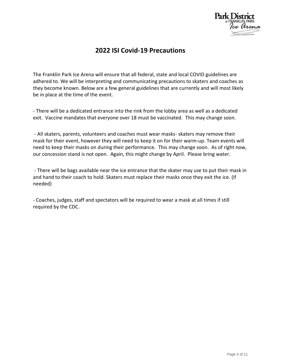

#### **2022 ISI Covid-19 Precautions**

The Franklin Park Ice Arena will ensure that all federal, state and local COVID guidelines are adhered to. We will be interpreting and communicating precautions to skaters and coaches as they become known. Below are a few general guidelines that are currently and will most likely be in place at the time of the event.

- There will be a dedicated entrance into the rink from the lobby area as well as a dedicated exit. Vaccine mandates that everyone over 18 must be vaccinated. This may change soon.

- All skaters, parents, volunteers and coaches must wear masks- skaters may remove their mask for their event, however they will need to keep it on for their warm-up. Team events will need to keep their masks on during their performance. This may change soon. As of right now, our concession stand is not open. Again, this might change by April. Please bring water.

- There will be bags available near the ice entrance that the skater may use to put their mask in and hand to their coach to hold. Skaters must replace their masks once they exit the ice. (if needed)

- Coaches, judges, staff and spectators will be required to wear a mask at all times if still required by the CDC.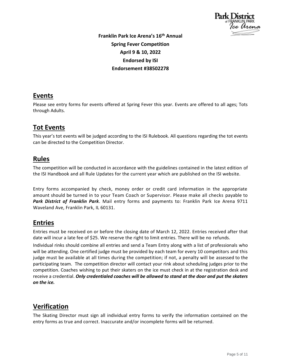

**Franklin Park Ice Arena's 16 th Annual Spring Fever Competition April 9 & 10, 2022 Endorsed by ISI Endorsement #38502278**

#### **Events**

Please see entry forms for events offered at Spring Fever this year. Events are offered to all ages; Tots through Adults.

### **Tot Events**

This year's tot events will be judged according to the ISI Rulebook. All questions regarding the tot events can be directed to the Competition Director.

#### **Rules**

The competition will be conducted in accordance with the guidelines contained in the latest edition of the ISI Handbook and all Rule Updates for the current year which are published on the ISI website.

Entry forms accompanied by check, money order or credit card information in the appropriate amount should be turned in to your Team Coach or Supervisor. Please make all checks payable to *Park District of Franklin Park*. Mail entry forms and payments to: Franklin Park Ice Arena 9711 Waveland Ave, Franklin Park, IL 60131.

#### **Entries**

Entries must be received on or before the closing date of March 12, 2022. Entries received after that date will incur a late fee of \$25. We reserve the right to limit entries. There will be no refunds.

Individual rinks should combine all entries and send a Team Entry along with a list of professionals who will be attending. One certified judge must be provided by each team for every 10 competitors and this judge must be available at all times during the competition; if not, a penalty will be assessed to the participating team. The competition director will contact your rink about scheduling judges prior to the competition. Coaches wishing to put their skaters on the ice must check in at the registration desk and receive a credential. *Only credentialed coaches will be allowed to stand at the door and put the skaters on the ice.*

# **Verification**

The Skating Director must sign all individual entry forms to verify the information contained on the entry forms as true and correct. Inaccurate and/or incomplete forms will be returned.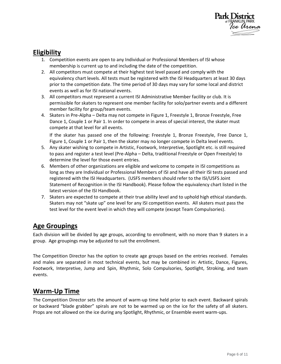

#### **Eligibility**

- 1. Competition events are open to any Individual or Professional Members of ISI whose membership is current up to and including the date of the competition.
- 2. All competitors must compete at their highest test level passed and comply with the equivalency chart levels. All tests must be registered with the ISI Headquarters at least 30 days prior to the competition date. The time period of 30 days may vary for some local and district events as well as for ISI national events.
- 3. All competitors must represent a current ISI Administrative Member facility or club. It is permissible for skaters to represent one member facility for solo/partner events and a different member facility for group/team events.
- 4. Skaters in Pre-Alpha Delta may not compete in Figure 1, Freestyle 1, Bronze Freestyle, Free Dance 1, Couple 1 or Pair 1. In order to compete in areas of special interest, the skater must compete at that level for all events.

If the skater has passed one of the following: Freestyle 1, Bronze Freestyle, Free Dance 1, Figure 1, Couple 1 or Pair 1, then the skater may no longer compete in Delta level events.

- 5. Any skater wishing to compete in Artistic, Footwork, Interpretive, Spotlight etc. is still required to pass and register a test level (Pre-Alpha – Delta, traditional Freestyle or Open Freestyle) to determine the level for those event entries.
- 6. Members of other organizations are eligible and welcome to compete in ISI competitions as long as they are Individual or Professional Members of ISI and have all their ISI tests passed and registered with the ISI Headquarters. (USFS members should refer to the ISI/USFS Joint Statement of Recognition in the ISI Handbook). Please follow the equivalency chart listed in the latest version of the ISI Handbook.
- 7. Skaters are expected to compete at their true ability level and to uphold high ethical standards. Skaters may not "skate up" one level for any ISI competition events. All skaters must pass the test level for the event level in which they will compete (except Team Compulsories).

#### **Age Groupings**

Each division will be divided by age groups, according to enrollment, with no more than 9 skaters in a group. Age groupings may be adjusted to suit the enrollment.

The Competition Director has the option to create age groups based on the entries received. Females and males are separated in most technical events, but may be combined in: Artistic, Dance, Figures, Footwork, Interpretive, Jump and Spin, Rhythmic, Solo Compulsories, Spotlight, Stroking, and team events.

#### **Warm-Up Time**

The Competition Director sets the amount of warm-up time held prior to each event. Backward spirals or backward "blade grabber" spirals are not to be warmed up on the ice for the safety of all skaters. Props are not allowed on the ice during any Spotlight, Rhythmic, or Ensemble event warm-ups.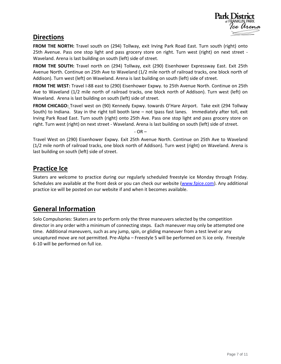

#### **Directions**

**FROM THE NORTH:** Travel south on (294) Tollway, exit Irving Park Road East. Turn south (right) onto 25th Avenue. Pass one stop light and pass grocery store on right. Turn west (right) on next street - Waveland. Arena is last building on south (left) side of street.

**FROM THE SOUTH:** Travel north on (294) Tollway, exit (290) Eisenhower Expressway East. Exit 25th Avenue North. Continue on 25th Ave to Waveland (1/2 mile north of railroad tracks, one block north of Addison). Turn west (left) on Waveland. Arena is last building on south (left) side of street.

**FROM THE WEST:** Travel I-88 east to (290) Eisenhower Expwy. to 25th Avenue North. Continue on 25th Ave to Waveland (1/2 mile north of railroad tracks, one block north of Addison). Turn west (left) on Waveland. Arena is last building on south (left) side of street.

**FROM CHICAGO:** Travel west on (90) Kennedy Expwy. towards O'Hare Airport. Take exit (294 Tollway South) to Indiana. Stay in the right toll booth lane – not Ipass fast lanes. Immediately after toll, exit Irving Park Road East. Turn south (right) onto 25th Ave. Pass one stop light and pass grocery store on right. Turn west (right) on next street - Waveland. Arena is last building on south (left) side of street.

 $-$  OR  $-$ 

Travel West on (290) Eisenhower Expwy. Exit 25th Avenue North. Continue on 25th Ave to Waveland (1/2 mile north of railroad tracks, one block north of Addison). Turn west (right) on Waveland. Arena is last building on south (left) side of street.

#### **Practice Ice**

Skaters are welcome to practice during our regularly scheduled freestyle ice Monday through Friday. Schedules are available at the front desk or you can check our website (www.fpice.com). Any additional practice ice will be posted on our website if and when it becomes available.

# **General Information**

Solo Compulsories: Skaters are to perform only the three maneuvers selected by the competition director in any order with a minimum of connecting steps. Each maneuver may only be attempted one time. Additional maneuvers, such as any jump, spin, or gliding maneuver from a test level or any uncaptured move are not permitted. Pre-Alpha – Freestyle 5 will be performed on ½ ice only. Freestyle 6-10 will be performed on full ice.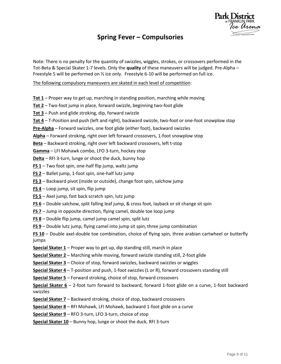# **Spring Fever – Compulsories**

Note: There is no penalty for the quantity of swizzles, wiggles, strokes, or crossovers performed in the Tot-Beta & Special Skater 1-7 levels. Only the **quality** of these maneuvers will be judged. Pre-Alpha – Freestyle 5 will be performed on ½ ice only. Freestyle 6-10 will be performed on full ice.

The following compulsory maneuvers are skated in each level of competition:

- **Tot 1** Proper way to get up, marching in standing position, marching while moving
- **Tot 2** Two-foot jump in place, forward swizzle, beginning two-foot glide
- **Tot 3** Push and glide stroking, dip, forward swizzle
- **Tot 4** T-Position and push (left and right), backward swizzle, two-foot or one-foot snowplow stop
- **Pre-Alpha** Forward swizzles, one foot glide (either foot), backward swizzles
- **Alpha** Forward stroking, right over left forward crossovers, 1-foot snowplow stop

**Beta** – Backward stroking, right over left backward crossovers, left t-stop

**Gamma** – LFI Mohawk combo, LFO 3-turn, hockey stop

**Delta** – RFI 3-turn, lunge or shoot the duck, bunny hop

- **FS 1** Two foot spin, one-half flip jump, waltz jump
- **FS 2** Ballet jump, 1-foot spin, one-half lutz jump
- **FS 3** Backward pivot (inside or outside), change foot spin, salchow jump
- **FS 4** Loop jump, sit spin, flip jump
- **FS 5** Axel jump, fast back scratch spin, lutz jump
- **FS 6** Double salchow, split falling leaf jump, & cross foot, layback or sit change sit spin
- **FS 7** Jump in opposite direction, flying camel, double toe loop jump
- **FS 8** Double flip jump, camel jump camel spin, split lutz
- **FS 9** Double lutz jump, flying camel into jump sit spin, three jump combination

**FS 10** – Double axel-double toe combination, choice of flying spin, three arabian cartwheel or butterfly jumps

**Special Skater 1** – Proper way to get up, dip standing still, march in place

**Special Skater 2** – Marching while moving, forward swizzle standing still, 2-foot glide

**Special Skater 3** – Choice of stop, forward swizzles, backward swizzles or wiggles

**Special Skater 4** – T-position and push, 1-foot swizzles (L or R), forward crossovers standing still

**Special Skater 5** – Forward stroking, choice of stop, forward crossovers

**Special Skater 6** – 2-foot turn forward to backward, forward 1-foot glide on a curve, 1-foot backward swizzles

**Special Skater 7** – Backward stroking, choice of stop, backward crossovers

**Special Skater 8** – RFI Mohawk, LFI Mohawk, backward 1-foot glide on a curve

**Special Skater 9** – RFO 3-turn, LFO 3-turn, choice of stop

**Special Skater 10** – Bunny hop, lunge or shoot the duck, RFI 3-turn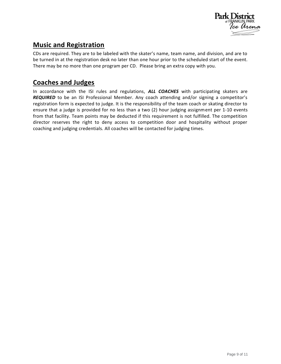

### **Music and Registration**

CDs are required. They are to be labeled with the skater's name, team name, and division, and are to be turned in at the registration desk no later than one hour prior to the scheduled start of the event. There may be no more than one program per CD. Please bring an extra copy with you.

#### **Coaches and Judges**

In accordance with the ISI rules and regulations, *ALL COACHES* with participating skaters are **REQUIRED** to be an ISI Professional Member. Any coach attending and/or signing a competitor's registration form is expected to judge. It is the responsibility of the team coach or skating director to ensure that a judge is provided for no less than a two (2) hour judging assignment per 1-10 events from that facility. Team points may be deducted if this requirement is not fulfilled. The competition director reserves the right to deny access to competition door and hospitality without proper coaching and judging credentials. All coaches will be contacted for judging times.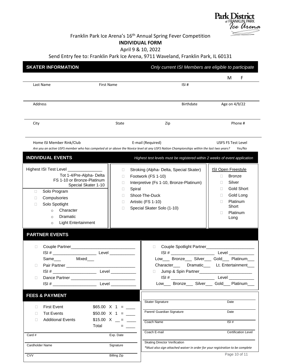

#### Franklin Park Ice Arena's 16<sup>th</sup> Annual Spring Fever Competition **INDIVIDUAL FORM**

April 9 & 10, 2022

Send Entry fee to: Franklin Park Ice Arena, 9711 Waveland, Franklin Park, IL 60131

| <b>SKATER INFORMATION</b>                                                                                                                                                                                                                                                                                                                                                        |                                                                       | Only current ISI Members are eligible to participate                                                                                                                                                                                                         |                                                                                                                                                                       |
|----------------------------------------------------------------------------------------------------------------------------------------------------------------------------------------------------------------------------------------------------------------------------------------------------------------------------------------------------------------------------------|-----------------------------------------------------------------------|--------------------------------------------------------------------------------------------------------------------------------------------------------------------------------------------------------------------------------------------------------------|-----------------------------------------------------------------------------------------------------------------------------------------------------------------------|
| Last Name                                                                                                                                                                                                                                                                                                                                                                        | First Name                                                            | ISI#                                                                                                                                                                                                                                                         | F<br>M                                                                                                                                                                |
| Address                                                                                                                                                                                                                                                                                                                                                                          |                                                                       | <b>Birthdate</b>                                                                                                                                                                                                                                             | Age on 4/9/22                                                                                                                                                         |
| City                                                                                                                                                                                                                                                                                                                                                                             | State                                                                 | Zip                                                                                                                                                                                                                                                          | Phone #                                                                                                                                                               |
| Home ISI Member Rink/Club<br>Are you an active USFS member who has competed at or above the Novice level at any USFS Nation Championships within the last two years?<br><b>INDIVIDUAL EVENTS</b>                                                                                                                                                                                 |                                                                       | E-mail (Required)                                                                                                                                                                                                                                            | <b>USFS FS Test Level</b><br>Yes/No                                                                                                                                   |
| Highest ISI Test Level ________________<br>Tot 1-4/Pre-Alpha- Delta<br>FS 1-10 or Bronze-Platinum<br>Special Skater 1-10<br>Solo Program<br>$\Box$<br>Compulsories<br>□<br>Solo Spotlight<br>П<br>Character<br>$\circ$<br>Dramatic<br>$\circ$<br><b>Light Entertainment</b><br>$\circ$                                                                                           | 0<br>O<br>$\Box$<br>Spiral<br>$\Box$<br>П<br>$\Box$<br>П              | Highest test levels must be registered within 2 weeks of event application<br>Stroking (Alpha- Delta, Special Skater)<br>Footwork (FS 1-10)<br>Interpretive (Fs 1-10, Bronze-Platinum)<br>Shoot-The-Duck<br>Artistic (FS 1-10)<br>Special Skater Solo (1-10) | <b>ISI Open Freestyle</b><br><b>Bronze</b><br>$\Box$<br>Silver<br>П.<br><b>Gold Short</b><br>П.<br>Gold Long<br>O.<br>Platinum<br>П<br>Short<br>Platinum<br>П<br>Long |
| <b>PARTNER EVENTS</b><br>$\Box$<br>Pair Partner <b>Partner Partner Pair Partner</b><br>□<br>$ISI # _______$<br>Dance Partner <b>Executive Service Service Service Service Service Service Service Service Service Service Service Service Service Service Service Service Service Service Service Service Service Service Service Service Servi</b><br>$\Box$<br>$ISI # _______$ | Level___________<br>Level ___________                                 | П<br>Low___ Bronze___ Silver___ Gold___ Platinum___<br>Character____ Dramatic____ Lt. Entertainment___<br>$\Box$<br>$ISI #$ _______________________<br>Low___ Bronze___ Silver___ Gold___ Platinum___                                                        | Couple Spotlight Partner________________________<br>Level <b>Exercise Server</b>                                                                                      |
| <b>FEES &amp; PAYMENT</b><br><b>First Event</b><br>□<br><b>Tot Events</b><br>$\Box$<br><b>Additional Events</b><br>$\Box$<br>Total                                                                                                                                                                                                                                               | $$50.00 \times 1 = \_\_$<br>$$15.00 \ X \_ = \_$<br>$=$ $\sim$ $\sim$ | <b>Skater Signature</b><br>Parent/ Guardian Signature<br>Coach Name                                                                                                                                                                                          | Date<br>Date<br>ISI#                                                                                                                                                  |
| Card #<br>Cardholder Name<br><b>CVV</b>                                                                                                                                                                                                                                                                                                                                          | Exp. Date<br>Signature<br><b>Billing Zip</b>                          | Coach E-mail<br><b>Skating Director Verification</b><br>*Must also sign attached waiver in order for your registration to be complete                                                                                                                        | <b>Certification Level</b><br>Page 10 of 11                                                                                                                           |